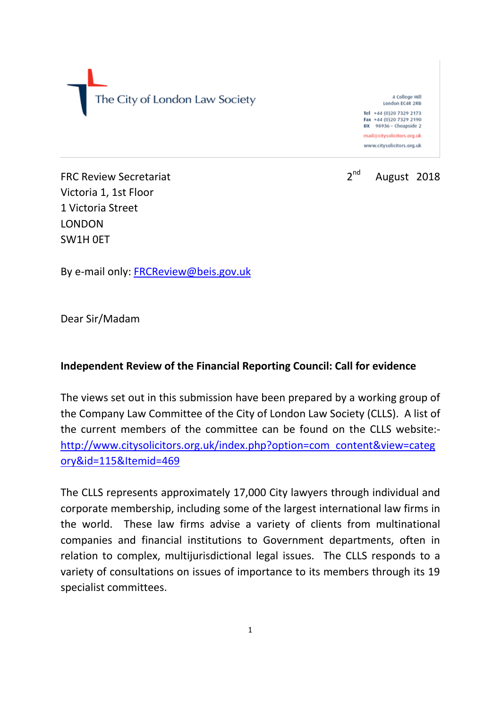The City of London Law Society

4 College Hill London EC4R 2RB Tel +44 (0)20 7329 2173 Fax +44 (0)20 7329 2190 DX 98936 - Cheapside 2

mail@citysolicitors.org.uk www.citysolicitors.org.uk



FRC Review Secretariat 2<sup>nd</sup> 2<sup>nd</sup> Victoria 1, 1st Floor 1 Victoria Street LONDON SW1H 0ET

By e-mail only: [FRCReview@beis.gov.uk](mailto:FRCReview@beis.gov.uk)

Dear Sir/Madam

### **Independent Review of the Financial Reporting Council: Call for evidence**

The views set out in this submission have been prepared by a working group of the Company Law Committee of the City of London Law Society (CLLS). A list of the current members of the committee can be found on the CLLS website: [http://www.citysolicitors.org.uk/index.php?option=com\\_content&view=categ](http://www.citysolicitors.org.uk/index.php?option=com_content&view=category&id=115&Itemid=469) [ory&id=115&Itemid=469](http://www.citysolicitors.org.uk/index.php?option=com_content&view=category&id=115&Itemid=469)

The CLLS represents approximately 17,000 City lawyers through individual and corporate membership, including some of the largest international law firms in the world. These law firms advise a variety of clients from multinational companies and financial institutions to Government departments, often in relation to complex, multijurisdictional legal issues. The CLLS responds to a variety of consultations on issues of importance to its members through its 19 specialist committees.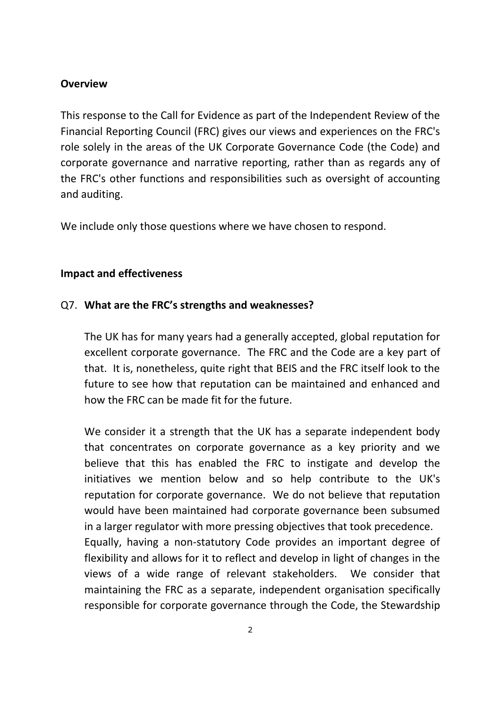#### **Overview**

This response to the Call for Evidence as part of the Independent Review of the Financial Reporting Council (FRC) gives our views and experiences on the FRC's role solely in the areas of the UK Corporate Governance Code (the Code) and corporate governance and narrative reporting, rather than as regards any of the FRC's other functions and responsibilities such as oversight of accounting and auditing.

We include only those questions where we have chosen to respond.

#### **Impact and effectiveness**

#### Q7. **What are the FRC's strengths and weaknesses?**

The UK has for many years had a generally accepted, global reputation for excellent corporate governance. The FRC and the Code are a key part of that. It is, nonetheless, quite right that BEIS and the FRC itself look to the future to see how that reputation can be maintained and enhanced and how the FRC can be made fit for the future.

We consider it a strength that the UK has a separate independent body that concentrates on corporate governance as a key priority and we believe that this has enabled the FRC to instigate and develop the initiatives we mention below and so help contribute to the UK's reputation for corporate governance. We do not believe that reputation would have been maintained had corporate governance been subsumed in a larger regulator with more pressing objectives that took precedence.

Equally, having a non-statutory Code provides an important degree of flexibility and allows for it to reflect and develop in light of changes in the views of a wide range of relevant stakeholders. We consider that maintaining the FRC as a separate, independent organisation specifically responsible for corporate governance through the Code, the Stewardship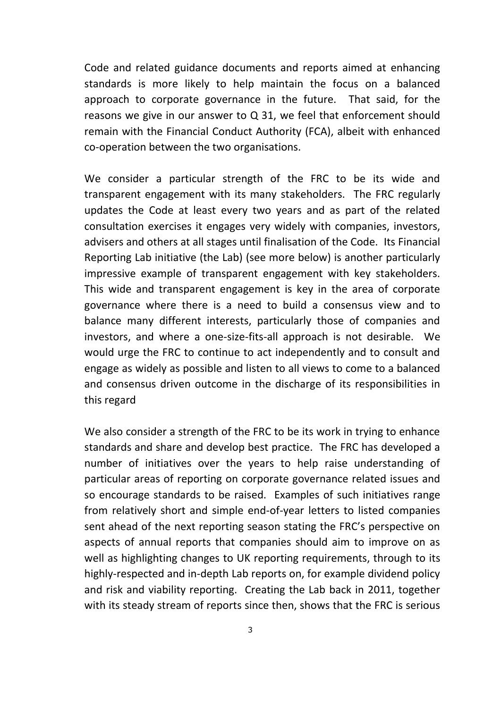Code and related guidance documents and reports aimed at enhancing standards is more likely to help maintain the focus on a balanced approach to corporate governance in the future. That said, for the reasons we give in our answer to Q 31, we feel that enforcement should remain with the Financial Conduct Authority (FCA), albeit with enhanced co-operation between the two organisations.

We consider a particular strength of the FRC to be its wide and transparent engagement with its many stakeholders. The FRC regularly updates the Code at least every two years and as part of the related consultation exercises it engages very widely with companies, investors, advisers and others at all stages until finalisation of the Code. Its Financial Reporting Lab initiative (the Lab) (see more below) is another particularly impressive example of transparent engagement with key stakeholders. This wide and transparent engagement is key in the area of corporate governance where there is a need to build a consensus view and to balance many different interests, particularly those of companies and investors, and where a one-size-fits-all approach is not desirable. We would urge the FRC to continue to act independently and to consult and engage as widely as possible and listen to all views to come to a balanced and consensus driven outcome in the discharge of its responsibilities in this regard

We also consider a strength of the FRC to be its work in trying to enhance standards and share and develop best practice. The FRC has developed a number of initiatives over the years to help raise understanding of particular areas of reporting on corporate governance related issues and so encourage standards to be raised. Examples of such initiatives range from relatively short and simple end-of-year letters to listed companies sent ahead of the next reporting season stating the FRC's perspective on aspects of annual reports that companies should aim to improve on as well as highlighting changes to UK reporting requirements, through to its highly-respected and in-depth Lab reports on, for example dividend policy and risk and viability reporting. Creating the Lab back in 2011, together with its steady stream of reports since then, shows that the FRC is serious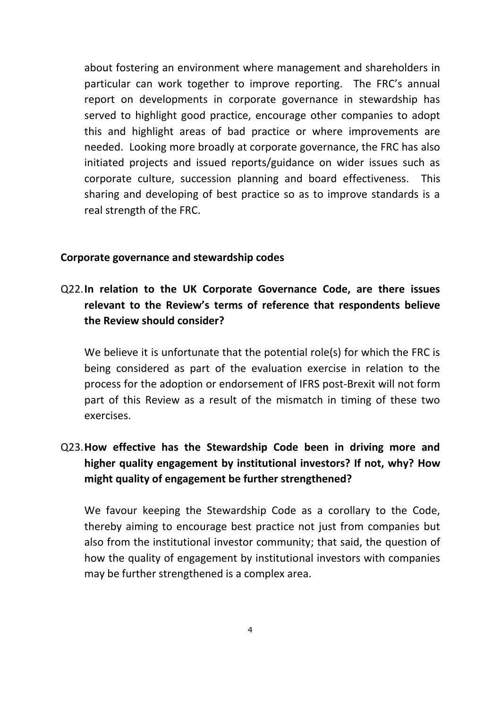about fostering an environment where management and shareholders in particular can work together to improve reporting. The FRC's annual report on developments in corporate governance in stewardship has served to highlight good practice, encourage other companies to adopt this and highlight areas of bad practice or where improvements are needed. Looking more broadly at corporate governance, the FRC has also initiated projects and issued reports/guidance on wider issues such as corporate culture, succession planning and board effectiveness. This sharing and developing of best practice so as to improve standards is a real strength of the FRC.

#### **Corporate governance and stewardship codes**

## Q22.**In relation to the UK Corporate Governance Code, are there issues relevant to the Review's terms of reference that respondents believe the Review should consider?**

We believe it is unfortunate that the potential role(s) for which the FRC is being considered as part of the evaluation exercise in relation to the process for the adoption or endorsement of IFRS post-Brexit will not form part of this Review as a result of the mismatch in timing of these two exercises.

# Q23.**How effective has the Stewardship Code been in driving more and higher quality engagement by institutional investors? If not, why? How might quality of engagement be further strengthened?**

We favour keeping the Stewardship Code as a corollary to the Code, thereby aiming to encourage best practice not just from companies but also from the institutional investor community; that said, the question of how the quality of engagement by institutional investors with companies may be further strengthened is a complex area.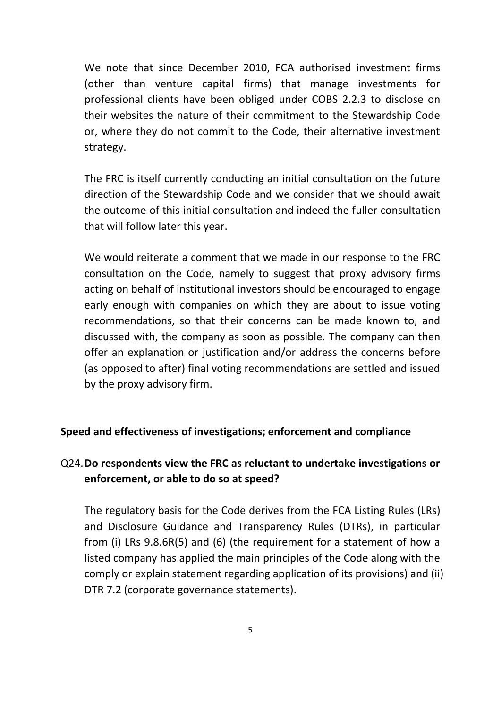We note that since December 2010, FCA authorised investment firms (other than venture capital firms) that manage investments for professional clients have been obliged under COBS 2.2.3 to disclose on their websites the nature of their commitment to the Stewardship Code or, where they do not commit to the Code, their alternative investment strategy.

The FRC is itself currently conducting an initial consultation on the future direction of the Stewardship Code and we consider that we should await the outcome of this initial consultation and indeed the fuller consultation that will follow later this year.

We would reiterate a comment that we made in our response to the FRC consultation on the Code, namely to suggest that proxy advisory firms acting on behalf of institutional investors should be encouraged to engage early enough with companies on which they are about to issue voting recommendations, so that their concerns can be made known to, and discussed with, the company as soon as possible. The company can then offer an explanation or justification and/or address the concerns before (as opposed to after) final voting recommendations are settled and issued by the proxy advisory firm.

#### **Speed and effectiveness of investigations; enforcement and compliance**

### Q24.**Do respondents view the FRC as reluctant to undertake investigations or enforcement, or able to do so at speed?**

The regulatory basis for the Code derives from the FCA Listing Rules (LRs) and Disclosure Guidance and Transparency Rules (DTRs), in particular from (i) LRs 9.8.6R(5) and (6) (the requirement for a statement of how a listed company has applied the main principles of the Code along with the comply or explain statement regarding application of its provisions) and (ii) DTR 7.2 (corporate governance statements).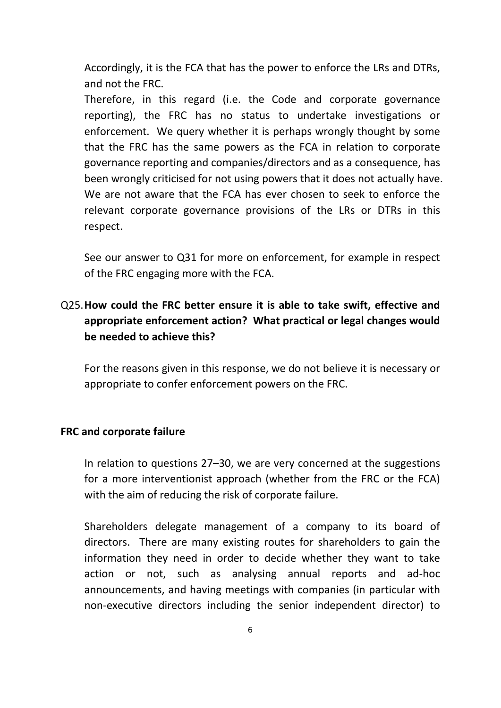Accordingly, it is the FCA that has the power to enforce the LRs and DTRs, and not the FRC.

Therefore, in this regard (i.e. the Code and corporate governance reporting), the FRC has no status to undertake investigations or enforcement. We query whether it is perhaps wrongly thought by some that the FRC has the same powers as the FCA in relation to corporate governance reporting and companies/directors and as a consequence, has been wrongly criticised for not using powers that it does not actually have. We are not aware that the FCA has ever chosen to seek to enforce the relevant corporate governance provisions of the LRs or DTRs in this respect.

See our answer to Q31 for more on enforcement, for example in respect of the FRC engaging more with the FCA.

## Q25.**How could the FRC better ensure it is able to take swift, effective and appropriate enforcement action? What practical or legal changes would be needed to achieve this?**

For the reasons given in this response, we do not believe it is necessary or appropriate to confer enforcement powers on the FRC.

#### **FRC and corporate failure**

In relation to questions 27–30, we are very concerned at the suggestions for a more interventionist approach (whether from the FRC or the FCA) with the aim of reducing the risk of corporate failure.

Shareholders delegate management of a company to its board of directors. There are many existing routes for shareholders to gain the information they need in order to decide whether they want to take action or not, such as analysing annual reports and ad-hoc announcements, and having meetings with companies (in particular with non-executive directors including the senior independent director) to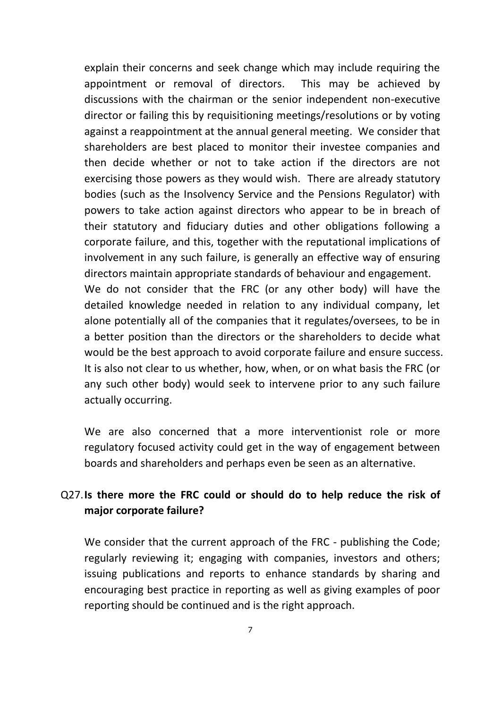explain their concerns and seek change which may include requiring the appointment or removal of directors. This may be achieved by discussions with the chairman or the senior independent non-executive director or failing this by requisitioning meetings/resolutions or by voting against a reappointment at the annual general meeting. We consider that shareholders are best placed to monitor their investee companies and then decide whether or not to take action if the directors are not exercising those powers as they would wish. There are already statutory bodies (such as the Insolvency Service and the Pensions Regulator) with powers to take action against directors who appear to be in breach of their statutory and fiduciary duties and other obligations following a corporate failure, and this, together with the reputational implications of involvement in any such failure, is generally an effective way of ensuring directors maintain appropriate standards of behaviour and engagement. We do not consider that the FRC (or any other body) will have the detailed knowledge needed in relation to any individual company, let

alone potentially all of the companies that it regulates/oversees, to be in a better position than the directors or the shareholders to decide what would be the best approach to avoid corporate failure and ensure success. It is also not clear to us whether, how, when, or on what basis the FRC (or any such other body) would seek to intervene prior to any such failure actually occurring.

We are also concerned that a more interventionist role or more regulatory focused activity could get in the way of engagement between boards and shareholders and perhaps even be seen as an alternative.

### Q27.**Is there more the FRC could or should do to help reduce the risk of major corporate failure?**

We consider that the current approach of the FRC - publishing the Code; regularly reviewing it; engaging with companies, investors and others; issuing publications and reports to enhance standards by sharing and encouraging best practice in reporting as well as giving examples of poor reporting should be continued and is the right approach.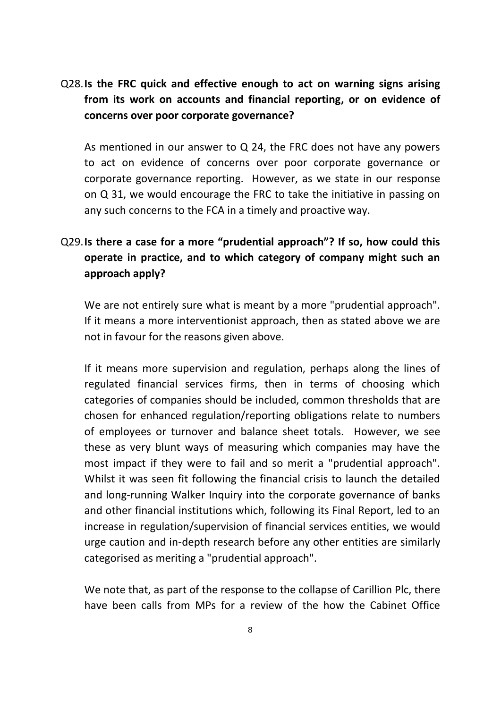## Q28.**Is the FRC quick and effective enough to act on warning signs arising from its work on accounts and financial reporting, or on evidence of concerns over poor corporate governance?**

As mentioned in our answer to Q 24, the FRC does not have any powers to act on evidence of concerns over poor corporate governance or corporate governance reporting. However, as we state in our response on Q 31, we would encourage the FRC to take the initiative in passing on any such concerns to the FCA in a timely and proactive way.

# Q29.**Is there a case for a more "prudential approach"? If so, how could this operate in practice, and to which category of company might such an approach apply?**

We are not entirely sure what is meant by a more "prudential approach". If it means a more interventionist approach, then as stated above we are not in favour for the reasons given above.

If it means more supervision and regulation, perhaps along the lines of regulated financial services firms, then in terms of choosing which categories of companies should be included, common thresholds that are chosen for enhanced regulation/reporting obligations relate to numbers of employees or turnover and balance sheet totals. However, we see these as very blunt ways of measuring which companies may have the most impact if they were to fail and so merit a "prudential approach". Whilst it was seen fit following the financial crisis to launch the detailed and long-running Walker Inquiry into the corporate governance of banks and other financial institutions which, following its Final Report, led to an increase in regulation/supervision of financial services entities, we would urge caution and in-depth research before any other entities are similarly categorised as meriting a "prudential approach".

We note that, as part of the response to the collapse of Carillion Plc, there have been calls from MPs for a review of the how the Cabinet Office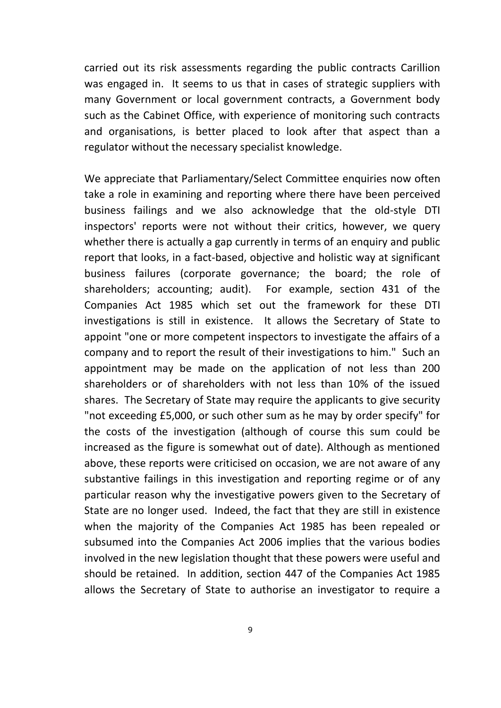carried out its risk assessments regarding the public contracts Carillion was engaged in. It seems to us that in cases of strategic suppliers with many Government or local government contracts, a Government body such as the Cabinet Office, with experience of monitoring such contracts and organisations, is better placed to look after that aspect than a regulator without the necessary specialist knowledge.

We appreciate that Parliamentary/Select Committee enquiries now often take a role in examining and reporting where there have been perceived business failings and we also acknowledge that the old-style DTI inspectors' reports were not without their critics, however, we query whether there is actually a gap currently in terms of an enquiry and public report that looks, in a fact-based, objective and holistic way at significant business failures (corporate governance; the board; the role of shareholders; accounting; audit). For example, section 431 of the Companies Act 1985 which set out the framework for these DTI investigations is still in existence. It allows the Secretary of State to appoint "one or more competent inspectors to investigate the affairs of a company and to report the result of their investigations to him." Such an appointment may be made on the application of not less than 200 shareholders or of shareholders with not less than 10% of the issued shares. The Secretary of State may require the applicants to give security "not exceeding £5,000, or such other sum as he may by order specify" for the costs of the investigation (although of course this sum could be increased as the figure is somewhat out of date). Although as mentioned above, these reports were criticised on occasion, we are not aware of any substantive failings in this investigation and reporting regime or of any particular reason why the investigative powers given to the Secretary of State are no longer used. Indeed, the fact that they are still in existence when the majority of the Companies Act 1985 has been repealed or subsumed into the Companies Act 2006 implies that the various bodies involved in the new legislation thought that these powers were useful and should be retained. In addition, section 447 of the Companies Act 1985 allows the Secretary of State to authorise an investigator to require a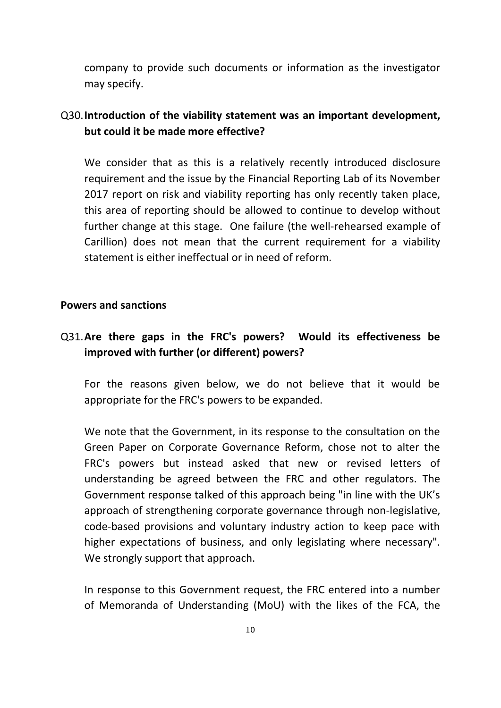company to provide such documents or information as the investigator may specify.

## Q30.**Introduction of the viability statement was an important development, but could it be made more effective?**

We consider that as this is a relatively recently introduced disclosure requirement and the issue by the Financial Reporting Lab of its November 2017 report on risk and viability reporting has only recently taken place, this area of reporting should be allowed to continue to develop without further change at this stage. One failure (the well-rehearsed example of Carillion) does not mean that the current requirement for a viability statement is either ineffectual or in need of reform.

#### **Powers and sanctions**

### Q31.**Are there gaps in the FRC's powers? Would its effectiveness be improved with further (or different) powers?**

For the reasons given below, we do not believe that it would be appropriate for the FRC's powers to be expanded.

We note that the Government, in its response to the consultation on the Green Paper on Corporate Governance Reform, chose not to alter the FRC's powers but instead asked that new or revised letters of understanding be agreed between the FRC and other regulators. The Government response talked of this approach being "in line with the UK's approach of strengthening corporate governance through non-legislative, code-based provisions and voluntary industry action to keep pace with higher expectations of business, and only legislating where necessary". We strongly support that approach.

In response to this Government request, the FRC entered into a number of Memoranda of Understanding (MoU) with the likes of the FCA, the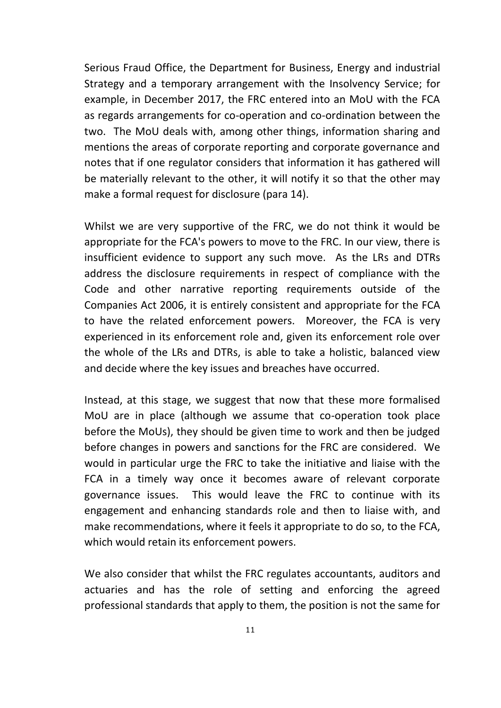Serious Fraud Office, the Department for Business, Energy and industrial Strategy and a temporary arrangement with the Insolvency Service; for example, in December 2017, the FRC entered into an MoU with the FCA as regards arrangements for co-operation and co-ordination between the two. The MoU deals with, among other things, information sharing and mentions the areas of corporate reporting and corporate governance and notes that if one regulator considers that information it has gathered will be materially relevant to the other, it will notify it so that the other may make a formal request for disclosure (para 14).

Whilst we are very supportive of the FRC, we do not think it would be appropriate for the FCA's powers to move to the FRC. In our view, there is insufficient evidence to support any such move. As the LRs and DTRs address the disclosure requirements in respect of compliance with the Code and other narrative reporting requirements outside of the Companies Act 2006, it is entirely consistent and appropriate for the FCA to have the related enforcement powers. Moreover, the FCA is very experienced in its enforcement role and, given its enforcement role over the whole of the LRs and DTRs, is able to take a holistic, balanced view and decide where the key issues and breaches have occurred.

Instead, at this stage, we suggest that now that these more formalised MoU are in place (although we assume that co-operation took place before the MoUs), they should be given time to work and then be judged before changes in powers and sanctions for the FRC are considered. We would in particular urge the FRC to take the initiative and liaise with the FCA in a timely way once it becomes aware of relevant corporate governance issues. This would leave the FRC to continue with its engagement and enhancing standards role and then to liaise with, and make recommendations, where it feels it appropriate to do so, to the FCA, which would retain its enforcement powers.

We also consider that whilst the FRC regulates accountants, auditors and actuaries and has the role of setting and enforcing the agreed professional standards that apply to them, the position is not the same for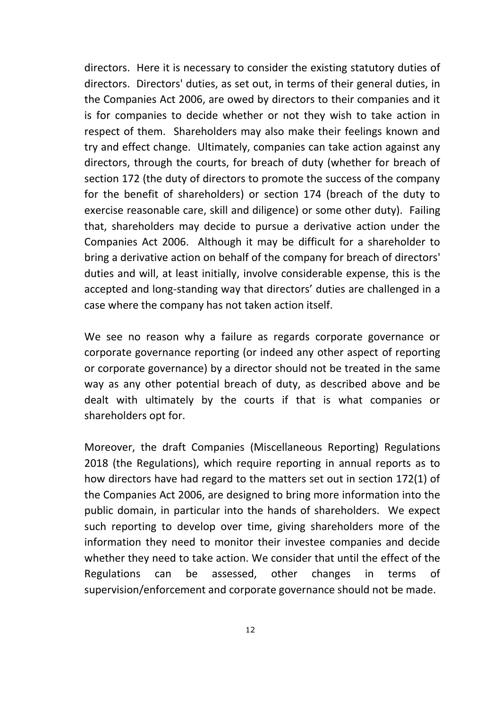directors. Here it is necessary to consider the existing statutory duties of directors. Directors' duties, as set out, in terms of their general duties, in the Companies Act 2006, are owed by directors to their companies and it is for companies to decide whether or not they wish to take action in respect of them. Shareholders may also make their feelings known and try and effect change. Ultimately, companies can take action against any directors, through the courts, for breach of duty (whether for breach of section 172 (the duty of directors to promote the success of the company for the benefit of shareholders) or section 174 (breach of the duty to exercise reasonable care, skill and diligence) or some other duty). Failing that, shareholders may decide to pursue a derivative action under the Companies Act 2006. Although it may be difficult for a shareholder to bring a derivative action on behalf of the company for breach of directors' duties and will, at least initially, involve considerable expense, this is the accepted and long-standing way that directors' duties are challenged in a case where the company has not taken action itself.

We see no reason why a failure as regards corporate governance or corporate governance reporting (or indeed any other aspect of reporting or corporate governance) by a director should not be treated in the same way as any other potential breach of duty, as described above and be dealt with ultimately by the courts if that is what companies or shareholders opt for.

Moreover, the draft Companies (Miscellaneous Reporting) Regulations 2018 (the Regulations), which require reporting in annual reports as to how directors have had regard to the matters set out in section 172(1) of the Companies Act 2006, are designed to bring more information into the public domain, in particular into the hands of shareholders. We expect such reporting to develop over time, giving shareholders more of the information they need to monitor their investee companies and decide whether they need to take action. We consider that until the effect of the Regulations can be assessed, other changes in terms of supervision/enforcement and corporate governance should not be made.